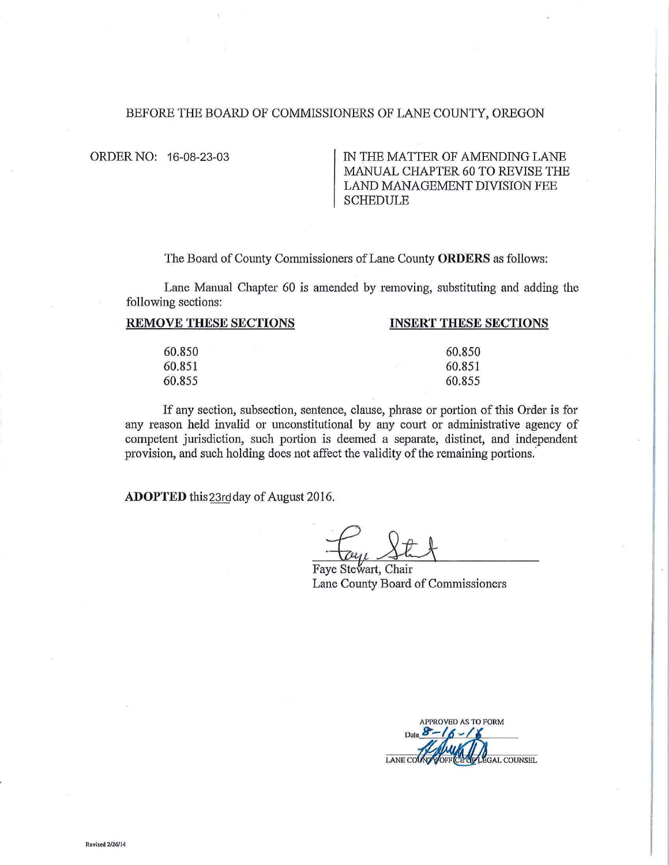## BEFORE THE BOARD OF COMMISSIONERS OF LANE COUNTY, OREGON

ORDER NO: 16-08-23-03 IN THE MATTER OF AMENDING LANE MANUAL CHAPTER 60 TO REVISE THE LAND MANAGEMENT DIVISION FEE SCHEDULE

The Board of County Commissioners of Lane County ORDERS as follows:

Lane Manual Chapter 60 is amended by removing, substituting and adding the following sections:

| <b>INSERT THESE SECTIONS</b> |
|------------------------------|
| 60.850                       |
| 60.851                       |
| 60.855                       |
|                              |

If any section, subsection, sentence, clause, phrase or portion of this Order is for any reason held invalid or unconstitutional by any court or administrative agency of competent jurisdiction, such portion is deemed a separate, distinct, and independent provision, and such holding does not affect the validity of the remaining portions.

**ADOPTED** this23rdday of August 2016.

Faye Stewart, Chair Lane County Board of Commissioners

APPROVED AS TO FORM **Date** LANE CO **EGAL COUNSEL**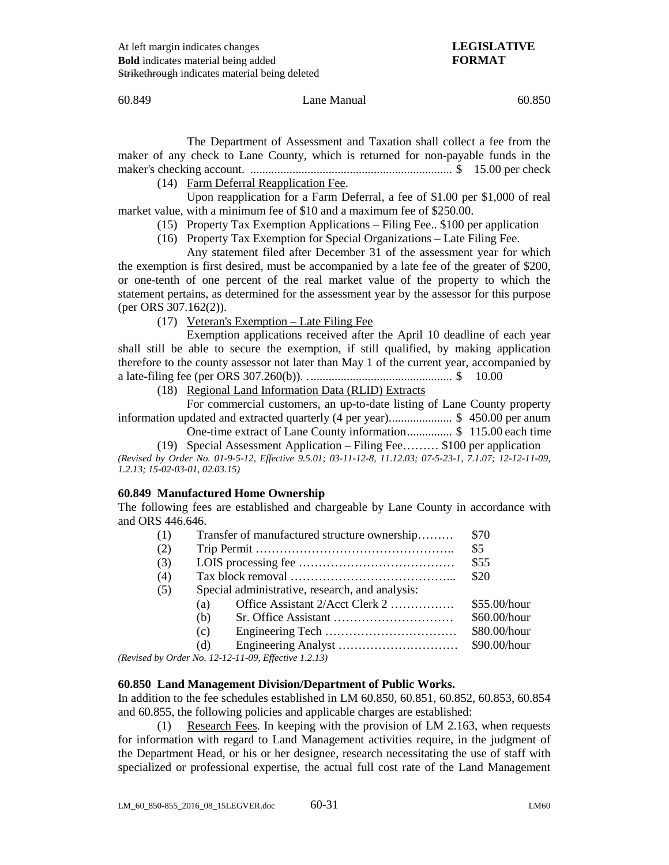### 60.849 Lane Manual 60.850

The Department of Assessment and Taxation shall collect a fee from the maker of any check to Lane County, which is returned for non-payable funds in the maker's checking account. ................................................................... \$ 15.00 per check

(14) Farm Deferral Reapplication Fee.

Upon reapplication for a Farm Deferral, a fee of \$1.00 per \$1,000 of real market value, with a minimum fee of \$10 and a maximum fee of \$250.00.

- (15) Property Tax Exemption Applications Filing Fee.. \$100 per application
- (16) Property Tax Exemption for Special Organizations Late Filing Fee.

Any statement filed after December 31 of the assessment year for which the exemption is first desired, must be accompanied by a late fee of the greater of \$200, or one-tenth of one percent of the real market value of the property to which the statement pertains, as determined for the assessment year by the assessor for this purpose (per ORS 307.162(2)).

(17) Veteran's Exemption – Late Filing Fee

Exemption applications received after the April 10 deadline of each year shall still be able to secure the exemption, if still qualified, by making application therefore to the county assessor not later than May 1 of the current year, accompanied by a late-filing fee (per ORS 307.260(b)). ................................................ \$ 10.00

(18) Regional Land Information Data (RLID) Extracts

For commercial customers, an up-to-date listing of Lane County property information updated and extracted quarterly (4 per year)..................... \$ 450.00 per anum

One-time extract of Lane County information............... \$ 115.00 each time

(19) Special Assessment Application – Filing Fee……… \$100 per application *(Revised by Order No. 01-9-5-12, Effective 9.5.01; 03-11-12-8, 11.12.03; 07-5-23-1, 7.1.07; 12-12-11-09, 1.2.13; 15-02-03-01, 02.03.15)*

# **60.849 Manufactured Home Ownership**

The following fees are established and chargeable by Lane County in accordance with and ORS 446.646.

| (1) |     | Transfer of manufactured structure ownership     | \$70         |
|-----|-----|--------------------------------------------------|--------------|
| (2) |     |                                                  | \$5          |
| (3) |     |                                                  | \$55         |
| (4) |     |                                                  | \$20         |
| (5) |     | Special administrative, research, and analysis:  |              |
|     | (a) | Office Assistant 2/Acct Clerk 2                  | \$55.00/hour |
|     | (b) |                                                  | \$60.00/hour |
|     | (c) |                                                  | \$80.00/hour |
|     | (d) |                                                  | \$90.00/hour |
|     |     | $(0, 1, M, 12, 12, 11, 00, T\%$ ( $(1, 2, 12)$ ) |              |

*(Revised by Order No. 12-12-11-09, Effective 1.2.13)*

# **60.850 Land Management Division/Department of Public Works.**

In addition to the fee schedules established in LM 60.850, 60.851, 60.852, 60.853, 60.854 and 60.855, the following policies and applicable charges are established:

(1) Research Fees. In keeping with the provision of LM 2.163, when requests for information with regard to Land Management activities require, in the judgment of the Department Head, or his or her designee, research necessitating the use of staff with specialized or professional expertise, the actual full cost rate of the Land Management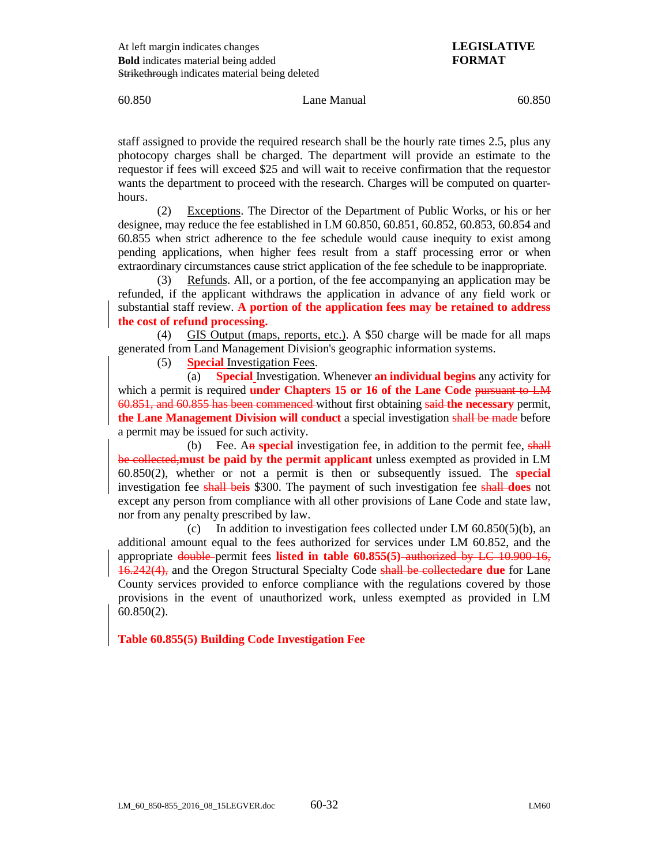60.850 Lane Manual 60.850

staff assigned to provide the required research shall be the hourly rate times 2.5, plus any photocopy charges shall be charged. The department will provide an estimate to the requestor if fees will exceed \$25 and will wait to receive confirmation that the requestor wants the department to proceed with the research. Charges will be computed on quarterhours.

(2) Exceptions. The Director of the Department of Public Works, or his or her designee, may reduce the fee established in LM 60.850, 60.851, 60.852, 60.853, 60.854 and 60.855 when strict adherence to the fee schedule would cause inequity to exist among pending applications, when higher fees result from a staff processing error or when extraordinary circumstances cause strict application of the fee schedule to be inappropriate.

(3) Refunds. All, or a portion, of the fee accompanying an application may be refunded, if the applicant withdraws the application in advance of any field work or substantial staff review. **A portion of the application fees may be retained to address the cost of refund processing.**

(4) GIS Output (maps, reports, etc.). A \$50 charge will be made for all maps generated from Land Management Division's geographic information systems.

(5) **Special** Investigation Fees.

(a) **Special** Investigation. Whenever **an individual begins** any activity for which a permit is required **under Chapters 15 or 16 of the Lane Code** pursuant to LM 60.851, and 60.855 has been commenced without first obtaining said **the necessary** permit, **the Lane Management Division will conduct** a special investigation shall be made before a permit may be issued for such activity.

(b) Fee. An **special** investigation fee, in addition to the permit fee, shall be collected,**must be paid by the permit applicant** unless exempted as provided in LM 60.850(2), whether or not a permit is then or subsequently issued. The **special**  investigation fee shall be**is** \$300. The payment of such investigation fee shall **does** not except any person from compliance with all other provisions of Lane Code and state law, nor from any penalty prescribed by law.

(c) In addition to investigation fees collected under LM 60.850(5)(b), an additional amount equal to the fees authorized for services under LM 60.852, and the appropriate double permit fees **listed in table 60.855(5)** authorized by LC 10.900-16, 16.242(4), and the Oregon Structural Specialty Code shall be collected**are due** for Lane County services provided to enforce compliance with the regulations covered by those provisions in the event of unauthorized work, unless exempted as provided in LM 60.850(2).

**Table 60.855(5) Building Code Investigation Fee**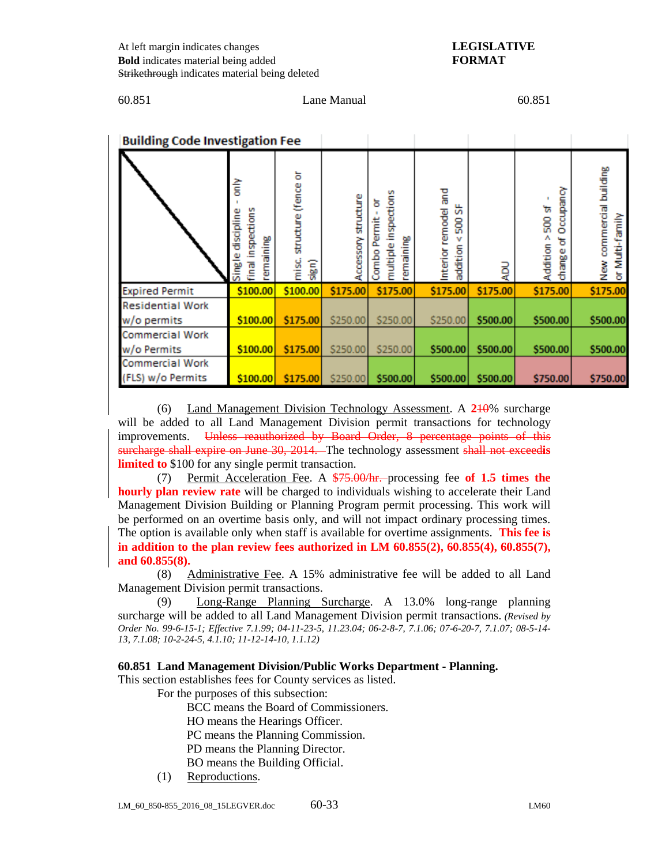## 60.851 Lane Manual 60.851

| <b>Building Code Investigation Fee</b> |                                                                 |                                       |                    |                                                             |                                                             |          |                                                       |                                                    |
|----------------------------------------|-----------------------------------------------------------------|---------------------------------------|--------------------|-------------------------------------------------------------|-------------------------------------------------------------|----------|-------------------------------------------------------|----------------------------------------------------|
|                                        | 즡<br>inspections<br>discipline<br>emaining<br>inal<br>E<br>Sing | structure (fence or<br>misc.<br>sign) | ccessory structure | inspections<br>ਠ<br>ermit<br>remaining<br>multiple<br>Combo | ng<br>F<br>눉<br>remodel<br>ន្ល<br>v<br>addition<br>Interior | ğ        | ccupancy<br>5008<<br>o<br>৳<br>Addition<br>ω<br>chang | commercial building<br>Multi-family<br>≹<br>≥<br>৯ |
| <b>Expired Permit</b>                  | \$100.00                                                        | \$100.00                              | \$175.00           | \$175.00                                                    | \$175.00                                                    | \$175.00 | \$175.00                                              | \$175.00                                           |
| <b>Residential Work</b>                |                                                                 |                                       |                    |                                                             |                                                             |          |                                                       |                                                    |
| w/o permits                            | \$100.00                                                        | \$175.00                              | \$250.00           | \$250.00                                                    | \$250.00                                                    | \$500.00 | \$500.00                                              | \$500.00                                           |
| <b>Commercial Work</b>                 |                                                                 |                                       |                    |                                                             |                                                             |          |                                                       |                                                    |
| w/o Permits                            | \$100.00                                                        | \$175.00                              | \$250.00           | \$250.00                                                    | \$500.00                                                    | \$500.00 | \$500.00                                              | \$500.00                                           |
| <b>Commercial Work</b>                 |                                                                 |                                       |                    |                                                             |                                                             |          |                                                       |                                                    |
| (FLS) w/o Permits                      | \$100.00                                                        | \$175.00                              | \$250.00           | \$500.00                                                    | \$500.00                                                    | \$500.00 | \$750.00                                              | \$750.00                                           |

(6) Land Management Division Technology Assessment. A **2**10% surcharge will be added to all Land Management Division permit transactions for technology improvements. Unless reauthorized by Board Order, 8 percentage points of this surcharge shall expire on June 30, 2014. The technology assessment shall not exceed**is limited to** \$100 for any single permit transaction.

(7) Permit Acceleration Fee. A \$75.00/hr. processing fee **of 1.5 times the hourly plan review rate** will be charged to individuals wishing to accelerate their Land Management Division Building or Planning Program permit processing. This work will be performed on an overtime basis only, and will not impact ordinary processing times. The option is available only when staff is available for overtime assignments. **This fee is in addition to the plan review fees authorized in LM 60.855(2), 60.855(4), 60.855(7), and 60.855(8).**

(8) Administrative Fee. A 15% administrative fee will be added to all Land Management Division permit transactions.

(9) Long-Range Planning Surcharge. A 13.0% long-range planning surcharge will be added to all Land Management Division permit transactions. *(Revised by Order No. 99-6-15-1; Effective 7.1.99; 04-11-23-5, 11.23.04; 06-2-8-7, 7.1.06; 07-6-20-7, 7.1.07; 08-5-14- 13, 7.1.08; 10-2-24-5, 4.1.10; 11-12-14-10, 1.1.12)*

# **60.851 Land Management Division/Public Works Department - Planning.**

This section establishes fees for County services as listed.

For the purposes of this subsection:

BCC means the Board of Commissioners.

HO means the Hearings Officer.

PC means the Planning Commission.

PD means the Planning Director.

BO means the Building Official.

(1) Reproductions.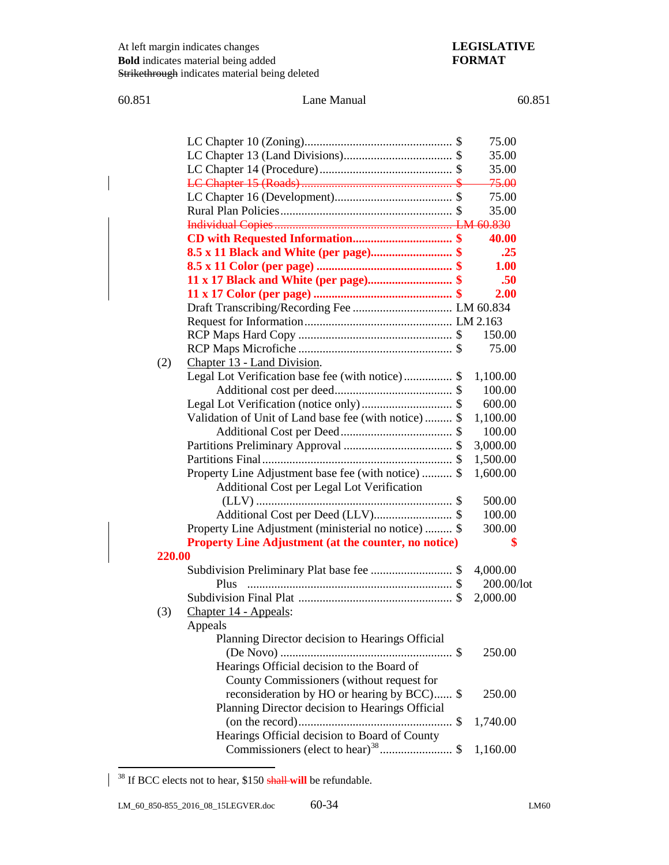# 60.851 Lane Manual 60.851

|        |                                                      | 75.00            |
|--------|------------------------------------------------------|------------------|
|        |                                                      | 35.00            |
|        |                                                      | 35.00            |
|        |                                                      | <del>75.00</del> |
|        |                                                      | 75.00            |
|        |                                                      | 35.00            |
|        |                                                      |                  |
|        |                                                      | 40.00            |
|        | 8.5 x 11 Black and White (per page) \$               | .25              |
|        |                                                      | 1.00             |
|        | 11 x 17 Black and White (per page) \$                | .50              |
|        |                                                      | 2.00             |
|        |                                                      |                  |
|        |                                                      |                  |
|        |                                                      | 150.00           |
|        |                                                      | 75.00            |
| (2)    | Chapter 13 - Land Division.                          |                  |
|        | Legal Lot Verification base fee (with notice) \$     | 1,100.00         |
|        |                                                      | 100.00           |
|        |                                                      | 600.00           |
|        | Validation of Unit of Land base fee (with notice) \$ | 1,100.00         |
|        |                                                      | 100.00           |
|        |                                                      | 3,000.00         |
|        |                                                      | 1,500.00         |
|        | Property Line Adjustment base fee (with notice)  \$  | 1,600.00         |
|        | Additional Cost per Legal Lot Verification           |                  |
|        |                                                      | 500.00           |
|        |                                                      | 100.00           |
|        | Property Line Adjustment (ministerial no notice)  \$ | 300.00           |
|        | Property Line Adjustment (at the counter, no notice) | \$               |
| 220.00 |                                                      |                  |
|        |                                                      | 4,000.00         |
|        | Plus                                                 | 200.00/lot       |
|        |                                                      | 2,000.00         |
| (3)    | Chapter 14 - Appeals:                                |                  |
|        | Appeals                                              |                  |
|        | Planning Director decision to Hearings Official      |                  |
|        |                                                      | 250.00           |
|        | Hearings Official decision to the Board of           |                  |
|        | County Commissioners (without request for            |                  |
|        | reconsideration by HO or hearing by BCC) \$          | 250.00           |
|        | Planning Director decision to Hearings Official      |                  |
|        |                                                      | 1,740.00         |
|        | Hearings Official decision to Board of County        |                  |
|        | Commissioners (elect to hear) <sup>38</sup> \$       | 1,160.00         |

<span id="page-4-0"></span> <sup>38</sup> If BCC elects not to hear, \$150 shall **will** be refundable.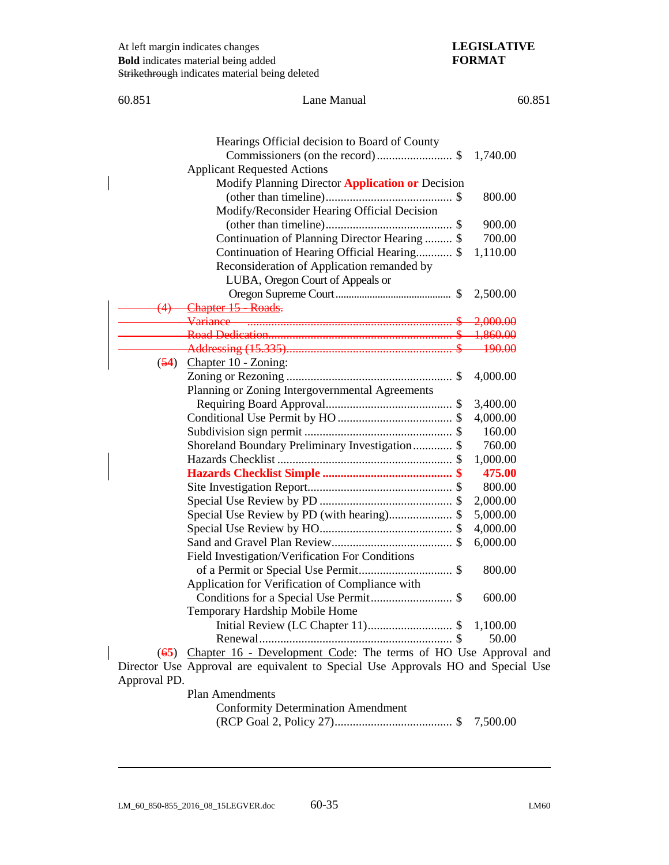| 60.851         | Lane Manual                                                                                                                                                                | 60.851    |
|----------------|----------------------------------------------------------------------------------------------------------------------------------------------------------------------------|-----------|
|                | Hearings Official decision to Board of County<br>Commissioners (on the record)\$<br><b>Applicant Requested Actions</b><br>Modify Planning Director Application or Decision | 1,740.00  |
|                | Modify/Reconsider Hearing Official Decision                                                                                                                                | 800.00    |
|                |                                                                                                                                                                            | 900.00    |
|                | Continuation of Planning Director Hearing  \$                                                                                                                              | 700.00    |
|                | Continuation of Hearing Official Hearing \$                                                                                                                                | 1,110.00  |
|                | Reconsideration of Application remanded by                                                                                                                                 |           |
|                | LUBA, Oregon Court of Appeals or                                                                                                                                           |           |
|                |                                                                                                                                                                            | 2,500.00  |
| <del>(4)</del> | Chapter 15 - Roads.                                                                                                                                                        |           |
|                |                                                                                                                                                                            | 2,000.00  |
|                |                                                                                                                                                                            |           |
|                |                                                                                                                                                                            | $-190.00$ |
|                | $(54)$ Chapter 10 - Zoning:                                                                                                                                                |           |
|                |                                                                                                                                                                            | 4,000.00  |
|                | Planning or Zoning Intergovernmental Agreements                                                                                                                            |           |
|                |                                                                                                                                                                            | 3,400.00  |
|                |                                                                                                                                                                            | 4,000.00  |
|                |                                                                                                                                                                            | 160.00    |
|                | Shoreland Boundary Preliminary Investigation \$                                                                                                                            | 760.00    |
|                |                                                                                                                                                                            | 1,000.00  |
|                |                                                                                                                                                                            | 475.00    |
|                |                                                                                                                                                                            | 800.00    |
|                |                                                                                                                                                                            | 2,000.00  |
|                | Special Use Review by PD (with hearing)\$                                                                                                                                  | 5,000.00  |
|                |                                                                                                                                                                            | 4,000.00  |
|                |                                                                                                                                                                            | 6,000.00  |
|                | Field Investigation/Verification For Conditions                                                                                                                            |           |
|                |                                                                                                                                                                            | 800.00    |
|                | Application for Verification of Compliance with                                                                                                                            |           |
|                |                                                                                                                                                                            | 600.00    |
|                | Temporary Hardship Mobile Home                                                                                                                                             |           |
|                |                                                                                                                                                                            | 1,100.00  |
|                |                                                                                                                                                                            | 50.00     |
|                | (65) Chapter 16 - Development Code: The terms of HO Use Approval and                                                                                                       |           |
|                | Director Use Approval are equivalent to Special Use Approvals HO and Special Use                                                                                           |           |
| Approval PD.   |                                                                                                                                                                            |           |

Plan Amendments Conformity Determination Amendment (RCP Goal 2, Policy 27)....................................... \$ 7,500.00

 $\overline{a}$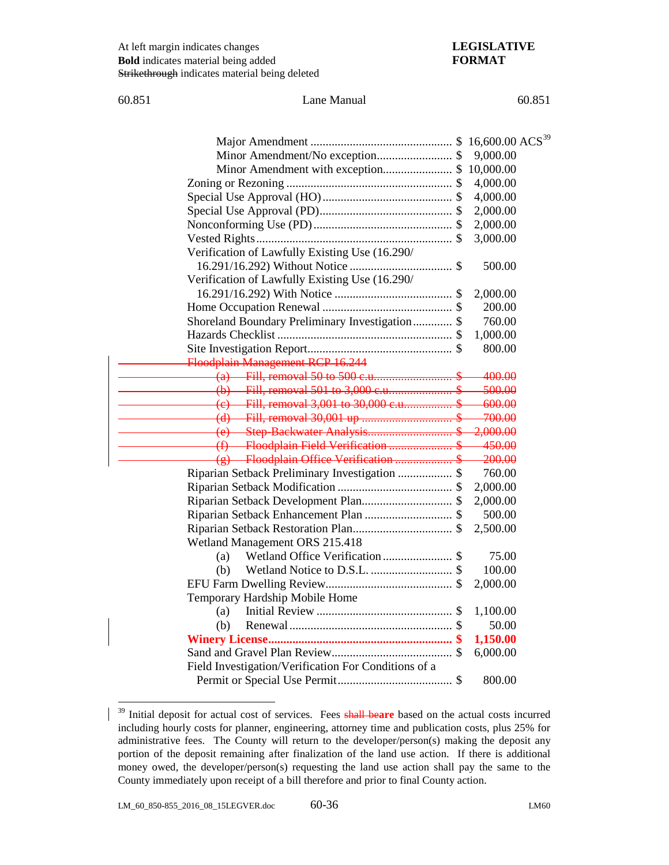60.851 Lane Manual 60.851

|                                                      | 9,000.00 |
|------------------------------------------------------|----------|
| Minor Amendment with exception \$ 10,000.00          |          |
|                                                      | 4,000.00 |
|                                                      | 4,000.00 |
|                                                      | 2,000.00 |
|                                                      | 2,000.00 |
|                                                      | 3,000.00 |
| Verification of Lawfully Existing Use (16.290/       |          |
|                                                      | 500.00   |
| Verification of Lawfully Existing Use (16.290/       |          |
|                                                      | 2,000.00 |
|                                                      | 200.00   |
| Shoreland Boundary Preliminary Investigation \$      | 760.00   |
|                                                      | 1,000.00 |
|                                                      | 800.00   |
| Floodplain Management RCP 16.244                     |          |
|                                                      | 400.00   |
|                                                      | 500.00   |
| (e) Fill, removal 3,001 to 30,000 c.u                | 600.00   |
|                                                      | 700.00   |
|                                                      | 2,000.00 |
| (f) Floodplain Field Verification                    | 450.00   |
| (g) Floodplain Office Verification \$                | 200.00   |
| Riparian Setback Preliminary Investigation  \$       | 760.00   |
|                                                      | 2,000.00 |
|                                                      | 2,000.00 |
| Riparian Setback Enhancement Plan  \$                | 500.00   |
|                                                      | 2,500.00 |
| Wetland Management ORS 215.418                       |          |
| (a)                                                  | 75.00    |
| (b)                                                  | 100.00   |
|                                                      | 2,000.00 |
| Temporary Hardship Mobile Home                       |          |
| (a)                                                  | 1,100.00 |
| (b)                                                  | 50.00    |
|                                                      | 1,150.00 |
|                                                      | 6,000.00 |
| Field Investigation/Verification For Conditions of a |          |
|                                                      | 800.00   |
|                                                      |          |

<span id="page-6-0"></span><sup>&</sup>lt;sup>39</sup> Initial deposit for actual cost of services. Fees shall beare based on the actual costs incurred including hourly costs for planner, engineering, attorney time and publication costs, plus 25% for administrative fees. The County will return to the developer/person(s) making the deposit any portion of the deposit remaining after finalization of the land use action. If there is additional money owed, the developer/person(s) requesting the land use action shall pay the same to the County immediately upon receipt of a bill therefore and prior to final County action.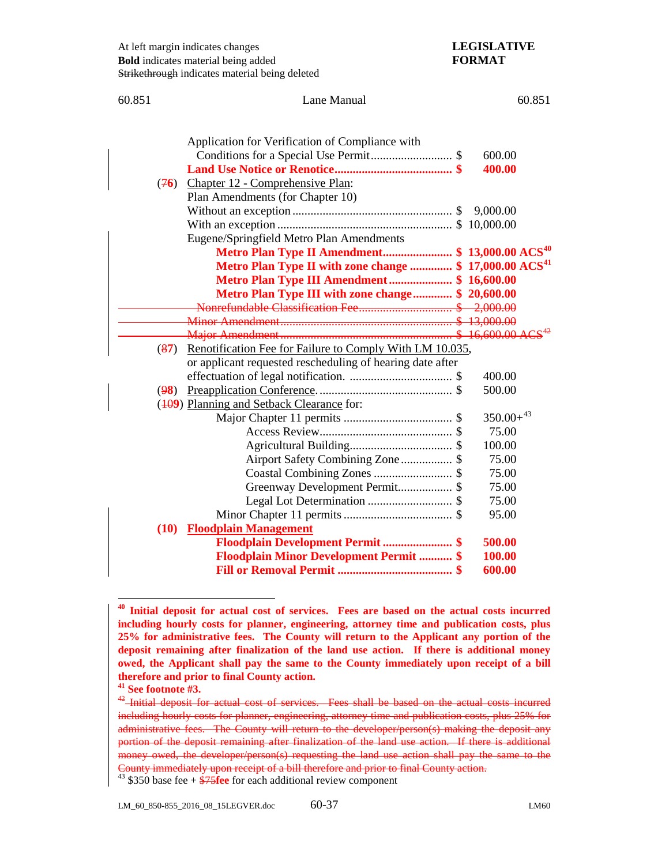| 60.851<br>Lane Manual |                                                                     | 60.851         |
|-----------------------|---------------------------------------------------------------------|----------------|
|                       |                                                                     |                |
|                       | Application for Verification of Compliance with                     |                |
|                       |                                                                     | 600.00         |
|                       |                                                                     | 400.00         |
| (76)                  | Chapter 12 - Comprehensive Plan:                                    |                |
|                       | Plan Amendments (for Chapter 10)                                    |                |
|                       |                                                                     | 9,000.00       |
|                       |                                                                     |                |
|                       | Eugene/Springfield Metro Plan Amendments                            |                |
|                       | Metro Plan Type II Amendment \$ 13,000.00 ACS <sup>40</sup>         |                |
|                       | Metro Plan Type II with zone change  \$ 17,000.00 ACS <sup>41</sup> |                |
|                       | Metro Plan Type III Amendment \$ 16,600.00                          |                |
|                       | Metro Plan Type III with zone change \$ 20,600.00                   |                |
|                       |                                                                     |                |
|                       |                                                                     |                |
|                       |                                                                     |                |
| (87)                  | Renotification Fee for Failure to Comply With LM 10.035,            |                |
|                       | or applicant requested rescheduling of hearing date after           |                |
|                       |                                                                     | 400.00         |
| (98)                  |                                                                     | 500.00         |
|                       | (409) Planning and Setback Clearance for:                           |                |
|                       |                                                                     | $350.00+^{43}$ |
|                       |                                                                     | 75.00          |
|                       |                                                                     | 100.00         |
|                       | Airport Safety Combining Zone \$                                    | 75.00          |
|                       |                                                                     | 75.00          |
|                       | Greenway Development Permit \$                                      | 75.00          |
|                       | Legal Lot Determination  \$                                         | 75.00          |
|                       |                                                                     | 95.00          |
| (10)                  | <b>Floodplain Management</b>                                        |                |
|                       | Floodplain Development Permit  \$                                   | 500.00         |
|                       | <b>Floodplain Minor Development Permit  \$</b>                      | 100.00         |
|                       |                                                                     | 600.00         |

<span id="page-7-0"></span>**<sup>40</sup> Initial deposit for actual cost of services. Fees are based on the actual costs incurred including hourly costs for planner, engineering, attorney time and publication costs, plus 25% for administrative fees. The County will return to the Applicant any portion of the deposit remaining after finalization of the land use action. If there is additional money owed, the Applicant shall pay the same to the County immediately upon receipt of a bill therefore and prior to final County action.**

 $\overline{a}$ 

<span id="page-7-1"></span>**<sup>41</sup> See footnote #3.**

<span id="page-7-2"></span> $42$ -Initial deposit for actual cost of services. Fees shall be based on the actual costs incurred including hourly costs for planner, engineering, attorney time and publication costs, plus 25% for administrative fees. The County will return to the developer/person(s) making the deposit any portion of the deposit remaining after finalization of the land use action. If there is additional money owed, the developer/person(s) requesting the land use action shall pay the same to the County immediately upon receipt of a bill therefore and prior to final County action. <sup>43</sup> \$350 base fee + \$75**fee** for each additional review component

<span id="page-7-3"></span>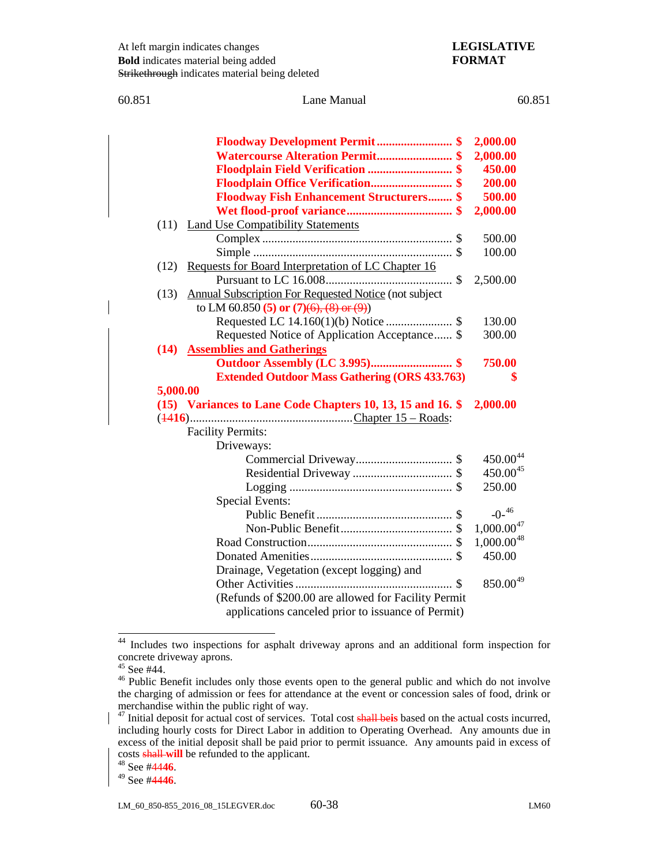| 60.851 |          | Lane Manual                                                | 60.851          |
|--------|----------|------------------------------------------------------------|-----------------|
|        |          |                                                            |                 |
|        |          | Floodway Development Permit \$                             | 2,000.00        |
|        |          |                                                            | 2,000.00        |
|        |          | Floodplain Field Verification  \$                          | 450.00          |
|        |          | Floodplain Office Verification \$                          | 200.00          |
|        |          | <b>Floodway Fish Enhancement Structurers \$</b>            | 500.00          |
|        |          |                                                            | 2,000.00        |
|        | (11)     | <b>Land Use Compatibility Statements</b>                   |                 |
|        |          |                                                            | 500.00          |
|        |          |                                                            | 100.00          |
|        | (12)     | Requests for Board Interpretation of LC Chapter 16         |                 |
|        |          |                                                            | 2,500.00        |
|        | (13)     | Annual Subscription For Requested Notice (not subject      |                 |
|        |          | to LM 60.850 (5) or $(7)(6)$ , $(8)$ or $(9)$ )            |                 |
|        |          |                                                            | 130.00          |
|        |          | Requested Notice of Application Acceptance \$              | 300.00          |
|        |          | (14) Assemblies and Gatherings                             |                 |
|        |          | <b>Outdoor Assembly (LC 3.995) \$</b>                      | 750.00          |
|        |          | <b>Extended Outdoor Mass Gathering (ORS 433.763)</b>       | \$              |
|        | 5,000.00 |                                                            |                 |
|        |          | (15) Variances to Lane Code Chapters 10, 13, 15 and 16. \$ | 2,000.00        |
|        |          |                                                            |                 |
|        |          | <b>Facility Permits:</b>                                   |                 |
|        |          | Driveways:                                                 |                 |
|        |          |                                                            | $450.00^{44}$   |
|        |          |                                                            | $450.00^{45}$   |
|        |          |                                                            | 250.00          |
|        |          | <b>Special Events:</b>                                     |                 |
|        |          |                                                            | $-0-46$         |
|        |          |                                                            | $1,000.00^{47}$ |
|        |          |                                                            | $1,000.00^{48}$ |
|        |          |                                                            | 450.00          |
|        |          | Drainage, Vegetation (except logging) and                  |                 |
|        |          |                                                            |                 |
|        |          |                                                            | $850.00^{49}$   |
|        |          | (Refunds of \$200.00 are allowed for Facility Permit       |                 |
|        |          | applications canceled prior to issuance of Permit)         |                 |

<span id="page-8-0"></span> <sup>44</sup> Includes two inspections for asphalt driveway aprons and an additional form inspection for concrete driveway aprons.<br><sup>45</sup> See #44.

<span id="page-8-2"></span><span id="page-8-1"></span><sup>46</sup> Public Benefit includes only those events open to the general public and which do not involve the charging of admission or fees for attendance at the event or concession sales of food, drink or merchandise within the public right of way.

<span id="page-8-3"></span><sup>47</sup> Initial deposit for actual cost of services. Total cost shall be**is** based on the actual costs incurred, including hourly costs for Direct Labor in addition to Operating Overhead. Any amounts due in excess of the initial deposit shall be paid prior to permit issuance. Any amounts paid in excess of costs shall **will** be refunded to the applicant.

<span id="page-8-4"></span><sup>48</sup> See #44**46**.

<span id="page-8-5"></span><sup>49</sup> See #44**46**.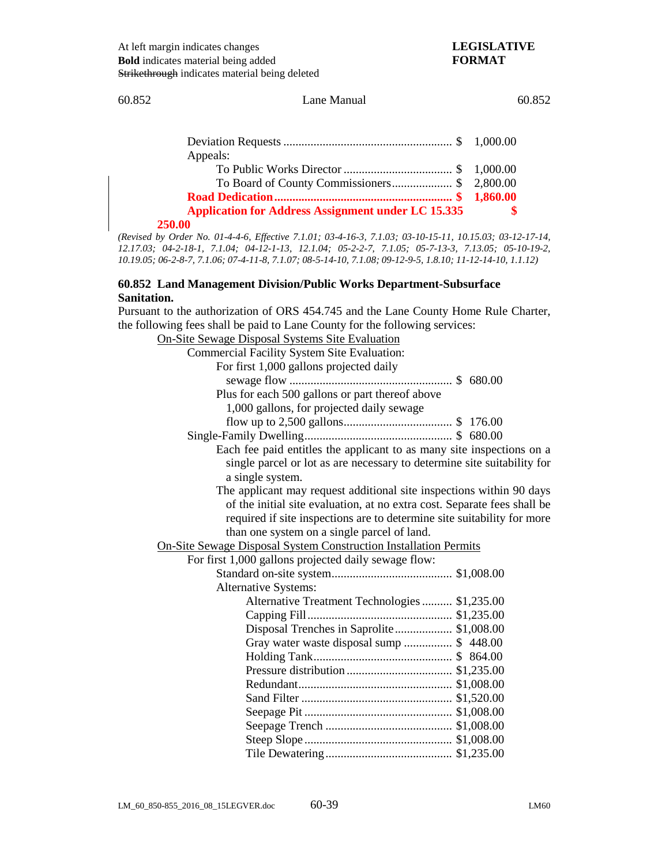### 60.852 Lane Manual 60.852

| Appeals:                                                  |  |
|-----------------------------------------------------------|--|
|                                                           |  |
| To Board of County Commissioners\$ 2,800.00               |  |
|                                                           |  |
| <b>Application for Address Assignment under LC 15.335</b> |  |
| 250.00                                                    |  |

### **250.00**

*(Revised by Order No. 01-4-4-6, Effective 7.1.01; 03-4-16-3, 7.1.03; 03-10-15-11, 10.15.03; 03-12-17-14, 12.17.03; 04-2-18-1, 7.1.04; 04-12-1-13, 12.1.04; 05-2-2-7, 7.1.05; 05-7-13-3, 7.13.05; 05-10-19-2, 10.19.05; 06-2-8-7, 7.1.06; 07-4-11-8, 7.1.07; 08-5-14-10, 7.1.08; 09-12-9-5, 1.8.10; 11-12-14-10, 1.1.12)*

## **60.852 Land Management Division/Public Works Department-Subsurface Sanitation.**

Pursuant to the authorization of ORS 454.745 and the Lane County Home Rule Charter, the following fees shall be paid to Lane County for the following services:

| <b>On-Site Sewage Disposal Systems Site Evaluation</b>                   |
|--------------------------------------------------------------------------|
| <b>Commercial Facility System Site Evaluation:</b>                       |
| For first 1,000 gallons projected daily                                  |
|                                                                          |
| Plus for each 500 gallons or part thereof above                          |
| 1,000 gallons, for projected daily sewage                                |
|                                                                          |
|                                                                          |
| Each fee paid entitles the applicant to as many site inspections on a    |
| single parcel or lot as are necessary to determine site suitability for  |
| a single system.                                                         |
| The applicant may request additional site inspections within 90 days     |
| of the initial site evaluation, at no extra cost. Separate fees shall be |
| required if site inspections are to determine site suitability for more  |
| than one system on a single parcel of land.                              |
| <b>On-Site Sewage Disposal System Construction Installation Permits</b>  |
| For first 1,000 gallons projected daily sewage flow:                     |
|                                                                          |
| <b>Alternative Systems:</b>                                              |
| Alternative Treatment Technologies  \$1,235.00                           |
|                                                                          |
| Disposal Trenches in Saprolite \$1,008.00                                |
| Gray water waste disposal sump  \$448.00                                 |
|                                                                          |
|                                                                          |
|                                                                          |
|                                                                          |
|                                                                          |
|                                                                          |
|                                                                          |
|                                                                          |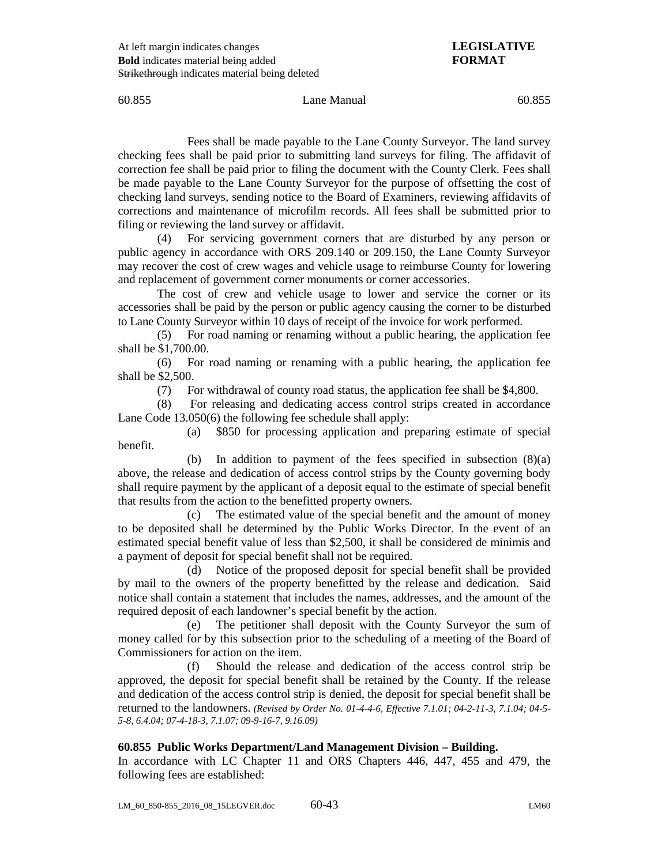## 60.855 Lane Manual 60.855

Fees shall be made payable to the Lane County Surveyor. The land survey checking fees shall be paid prior to submitting land surveys for filing. The affidavit of correction fee shall be paid prior to filing the document with the County Clerk. Fees shall be made payable to the Lane County Surveyor for the purpose of offsetting the cost of checking land surveys, sending notice to the Board of Examiners, reviewing affidavits of corrections and maintenance of microfilm records. All fees shall be submitted prior to filing or reviewing the land survey or affidavit.

(4) For servicing government corners that are disturbed by any person or public agency in accordance with ORS 209.140 or 209.150, the Lane County Surveyor may recover the cost of crew wages and vehicle usage to reimburse County for lowering and replacement of government corner monuments or corner accessories.

The cost of crew and vehicle usage to lower and service the corner or its accessories shall be paid by the person or public agency causing the corner to be disturbed to Lane County Surveyor within 10 days of receipt of the invoice for work performed.

(5) For road naming or renaming without a public hearing, the application fee shall be \$1,700.00.

(6) For road naming or renaming with a public hearing, the application fee shall be \$2,500.

(7) For withdrawal of county road status, the application fee shall be \$4,800.

(8) For releasing and dedicating access control strips created in accordance Lane Code 13.050(6) the following fee schedule shall apply:

(a) \$850 for processing application and preparing estimate of special benefit.

(b) In addition to payment of the fees specified in subsection (8)(a) above, the release and dedication of access control strips by the County governing body shall require payment by the applicant of a deposit equal to the estimate of special benefit that results from the action to the benefitted property owners.

(c) The estimated value of the special benefit and the amount of money to be deposited shall be determined by the Public Works Director. In the event of an estimated special benefit value of less than \$2,500, it shall be considered de minimis and a payment of deposit for special benefit shall not be required.

(d) Notice of the proposed deposit for special benefit shall be provided by mail to the owners of the property benefitted by the release and dedication. Said notice shall contain a statement that includes the names, addresses, and the amount of the required deposit of each landowner's special benefit by the action.

(e) The petitioner shall deposit with the County Surveyor the sum of money called for by this subsection prior to the scheduling of a meeting of the Board of Commissioners for action on the item.

(f) Should the release and dedication of the access control strip be approved, the deposit for special benefit shall be retained by the County. If the release and dedication of the access control strip is denied, the deposit for special benefit shall be returned to the landowners. *(Revised by Order No. 01-4-4-6, Effective 7.1.01; 04-2-11-3, 7.1.04; 04-5- 5-8, 6.4.04; 07-4-18-3, 7.1.07; 09-9-16-7, 9.16.09)*

# **60.855 Public Works Department/Land Management Division – Building.**

In accordance with LC Chapter 11 and ORS Chapters 446, 447, 455 and 479, the following fees are established: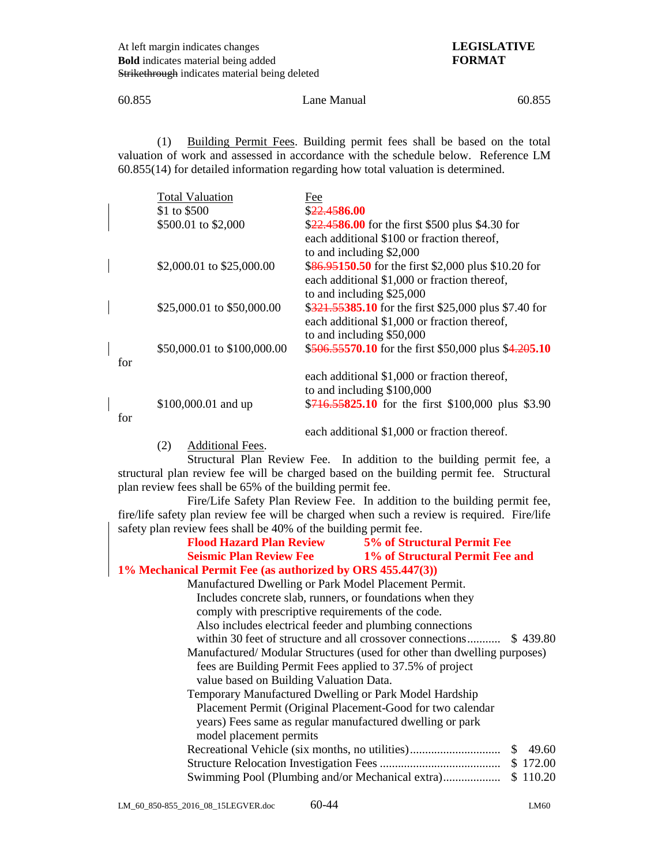60.855 Lane Manual 60.855

(1) Building Permit Fees. Building permit fees shall be based on the total valuation of work and assessed in accordance with the schedule below. Reference LM 60.855(14) for detailed information regarding how total valuation is determined.

|     | <b>Total Valuation</b>      | Fee                                                   |
|-----|-----------------------------|-------------------------------------------------------|
|     | \$1 to \$500                | \$22.4586.00                                          |
|     | \$500.01 to \$2,000         | \$22.4586.00 for the first \$500 plus \$4.30 for      |
|     |                             | each additional \$100 or fraction thereof,            |
|     |                             | to and including \$2,000                              |
|     | \$2,000.01 to \$25,000.00   | \$86.95150.50 for the first \$2,000 plus \$10.20 for  |
|     |                             | each additional \$1,000 or fraction thereof,          |
|     |                             | to and including \$25,000                             |
|     | \$25,000.01 to \$50,000.00  | \$321.55385.10 for the first \$25,000 plus \$7.40 for |
|     |                             | each additional \$1,000 or fraction thereof,          |
|     |                             | to and including \$50,000                             |
|     | \$50,000.01 to \$100,000.00 | \$506.55570.10 for the first \$50,000 plus \$4.205.10 |
| for |                             |                                                       |
|     |                             | each additional \$1,000 or fraction thereof,          |
|     |                             | to and including \$100,000                            |
|     | \$100,000.01 and up         | \$716.55825.10 for the first \$100,000 plus \$3.90    |
| for |                             |                                                       |
|     |                             | each additional \$1,000 or fraction thereof.          |

(2) Additional Fees.

Structural Plan Review Fee. In addition to the building permit fee, a structural plan review fee will be charged based on the building permit fee. Structural plan review fees shall be 65% of the building permit fee.

Fire/Life Safety Plan Review Fee. In addition to the building permit fee, fire/life safety plan review fee will be charged when such a review is required. Fire/life safety plan review fees shall be 40% of the building permit fee.

| <b>Flood Hazard Plan Review</b>                            | 5% of Structural Permit Fee                                             |
|------------------------------------------------------------|-------------------------------------------------------------------------|
|                                                            | Seismic Plan Review Fee 1% of Structural Permit Fee and                 |
| 1% Mechanical Permit Fee (as authorized by ORS 455.447(3)) |                                                                         |
| Manufactured Dwelling or Park Model Placement Permit.      |                                                                         |
| Includes concrete slab, runners, or foundations when they  |                                                                         |
| comply with prescriptive requirements of the code.         |                                                                         |
| Also includes electrical feeder and plumbing connections   |                                                                         |
|                                                            | within 30 feet of structure and all crossover connections \$439.80      |
|                                                            | Manufactured/Modular Structures (used for other than dwelling purposes) |
| fees are Building Permit Fees applied to 37.5% of project  |                                                                         |
| value based on Building Valuation Data.                    |                                                                         |
| Temporary Manufactured Dwelling or Park Model Hardship     |                                                                         |
| Placement Permit (Original Placement-Good for two calendar |                                                                         |
| years) Fees same as regular manufactured dwelling or park  |                                                                         |
| model placement permits                                    |                                                                         |
|                                                            | 49.60<br>S                                                              |
|                                                            | \$172.00                                                                |
| Swimming Pool (Plumbing and/or Mechanical extra)           | \$110.20                                                                |
|                                                            |                                                                         |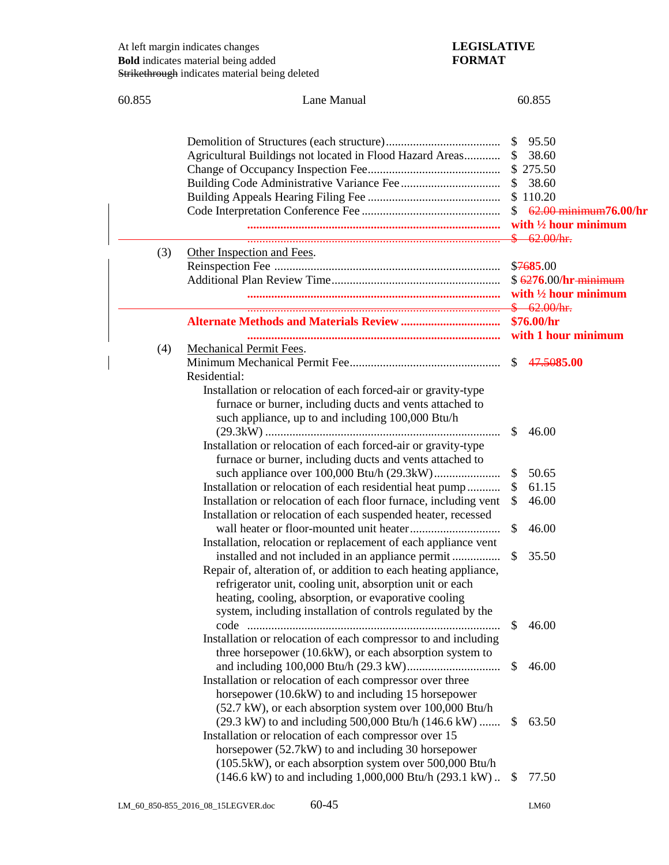| 60.855 | Lane Manual                                                                                                   | 60.855                          |
|--------|---------------------------------------------------------------------------------------------------------------|---------------------------------|
|        |                                                                                                               |                                 |
|        |                                                                                                               |                                 |
|        |                                                                                                               | \$95.50                         |
|        | Agricultural Buildings not located in Flood Hazard Areas                                                      | 38.60<br>$\mathcal{S}$          |
|        |                                                                                                               |                                 |
|        |                                                                                                               | 38.60                           |
|        |                                                                                                               | 62.00 minimum76.00/hr           |
|        |                                                                                                               | with $\frac{1}{2}$ hour minimum |
|        |                                                                                                               | \$62.00/hr.                     |
| (3)    | Other Inspection and Fees.                                                                                    |                                 |
|        |                                                                                                               |                                 |
|        |                                                                                                               | $$6276.00/hr-minimum$           |
|        |                                                                                                               | with $\frac{1}{2}$ hour minimum |
|        |                                                                                                               | \$62.00/hr.                     |
|        | <b>Alternate Methods and Materials Review </b>                                                                | \$76.00/hr                      |
|        |                                                                                                               | with 1 hour minimum             |
| (4)    | <b>Mechanical Permit Fees.</b>                                                                                |                                 |
|        |                                                                                                               | \$47.5085.00                    |
|        | Residential:                                                                                                  |                                 |
|        | Installation or relocation of each forced-air or gravity-type                                                 |                                 |
|        | furnace or burner, including ducts and vents attached to<br>such appliance, up to and including 100,000 Btu/h |                                 |
|        |                                                                                                               | $\mathbb{S}$<br>46.00           |
|        | Installation or relocation of each forced-air or gravity-type                                                 |                                 |
|        | furnace or burner, including ducts and vents attached to                                                      |                                 |
|        |                                                                                                               | 50.65<br>\$                     |
|        | Installation or relocation of each residential heat pump                                                      | 61.15<br>\$                     |
|        | Installation or relocation of each floor furnace, including vent                                              | 46.00<br>\$                     |
|        | Installation or relocation of each suspended heater, recessed                                                 |                                 |
|        |                                                                                                               | \$<br>46.00                     |
|        | Installation, relocation or replacement of each appliance vent                                                |                                 |
|        | installed and not included in an appliance permit                                                             | 35.50<br>\$                     |
|        | Repair of, alteration of, or addition to each heating appliance,                                              |                                 |
|        | refrigerator unit, cooling unit, absorption unit or each                                                      |                                 |
|        | heating, cooling, absorption, or evaporative cooling                                                          |                                 |
|        | system, including installation of controls regulated by the                                                   |                                 |
|        |                                                                                                               | 46.00<br>\$                     |
|        | Installation or relocation of each compressor to and including                                                |                                 |
|        | three horsepower (10.6kW), or each absorption system to                                                       |                                 |
|        | Installation or relocation of each compressor over three                                                      | 46.00<br>\$                     |
|        | horsepower (10.6kW) to and including 15 horsepower                                                            |                                 |
|        | (52.7 kW), or each absorption system over 100,000 Btu/h                                                       |                                 |
|        | $(29.3 \text{ kW})$ to and including 500,000 Btu/h $(146.6 \text{ kW})$                                       | 63.50<br>\$                     |
|        | Installation or relocation of each compressor over 15                                                         |                                 |
|        | horsepower (52.7kW) to and including 30 horsepower                                                            |                                 |
|        | (105.5kW), or each absorption system over 500,000 Btu/h                                                       |                                 |
|        | (146.6 kW) to and including 1,000,000 Btu/h (293.1 kW)                                                        | 77.50<br>S.                     |
|        |                                                                                                               |                                 |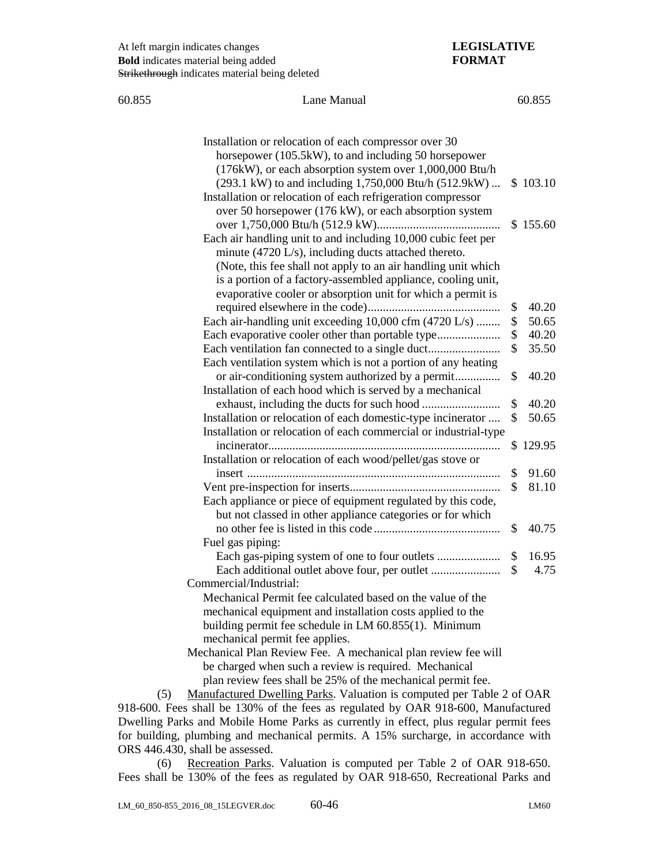| 60.855 | Lane Manual                                                                                                                                                                                                                                                                                                           |    | 60.855   |  |
|--------|-----------------------------------------------------------------------------------------------------------------------------------------------------------------------------------------------------------------------------------------------------------------------------------------------------------------------|----|----------|--|
|        | Installation or relocation of each compressor over 30<br>horsepower (105.5kW), to and including 50 horsepower<br>(176kW), or each absorption system over 1,000,000 Btu/h<br>(293.1 kW) to and including 1,750,000 Btu/h (512.9kW)                                                                                     |    | \$103.10 |  |
|        | Installation or relocation of each refrigeration compressor<br>over 50 horsepower (176 kW), or each absorption system                                                                                                                                                                                                 |    | \$155.60 |  |
|        | Each air handling unit to and including 10,000 cubic feet per<br>minute (4720 L/s), including ducts attached thereto.<br>(Note, this fee shall not apply to an air handling unit which<br>is a portion of a factory-assembled appliance, cooling unit,<br>evaporative cooler or absorption unit for which a permit is |    |          |  |
|        |                                                                                                                                                                                                                                                                                                                       | \$ | 40.20    |  |
|        | Each air-handling unit exceeding 10,000 cfm (4720 L/s)                                                                                                                                                                                                                                                                | \$ | 50.65    |  |
|        |                                                                                                                                                                                                                                                                                                                       | \$ | 40.20    |  |
|        |                                                                                                                                                                                                                                                                                                                       | \$ | 35.50    |  |
|        | Each ventilation system which is not a portion of any heating                                                                                                                                                                                                                                                         |    |          |  |
|        | or air-conditioning system authorized by a permit<br>Installation of each hood which is served by a mechanical                                                                                                                                                                                                        | \$ | 40.20    |  |
|        |                                                                                                                                                                                                                                                                                                                       | \$ | 40.20    |  |
|        | Installation or relocation of each domestic-type incinerator                                                                                                                                                                                                                                                          | \$ | 50.65    |  |
|        | Installation or relocation of each commercial or industrial-type                                                                                                                                                                                                                                                      |    |          |  |
|        |                                                                                                                                                                                                                                                                                                                       |    | \$129.95 |  |
|        | Installation or relocation of each wood/pellet/gas stove or                                                                                                                                                                                                                                                           |    |          |  |
|        |                                                                                                                                                                                                                                                                                                                       | \$ | 91.60    |  |
|        |                                                                                                                                                                                                                                                                                                                       | \$ | 81.10    |  |
|        | Each appliance or piece of equipment regulated by this code,                                                                                                                                                                                                                                                          |    |          |  |
|        | but not classed in other appliance categories or for which                                                                                                                                                                                                                                                            |    |          |  |
|        |                                                                                                                                                                                                                                                                                                                       | \$ | 40.75    |  |
|        | Fuel gas piping:                                                                                                                                                                                                                                                                                                      |    |          |  |
|        |                                                                                                                                                                                                                                                                                                                       |    | 16.95    |  |
|        |                                                                                                                                                                                                                                                                                                                       |    | 4.75     |  |
|        | Commercial/Industrial:                                                                                                                                                                                                                                                                                                |    |          |  |
|        | Mechanical Permit fee calculated based on the value of the                                                                                                                                                                                                                                                            |    |          |  |
|        | mechanical equipment and installation costs applied to the                                                                                                                                                                                                                                                            |    |          |  |
|        | building permit fee schedule in LM 60.855(1). Minimum                                                                                                                                                                                                                                                                 |    |          |  |
|        | mechanical permit fee applies.                                                                                                                                                                                                                                                                                        |    |          |  |
|        | Mechanical Plan Review Fee. A mechanical plan review fee will                                                                                                                                                                                                                                                         |    |          |  |
|        | be charged when such a review is required. Mechanical                                                                                                                                                                                                                                                                 |    |          |  |
|        | plan review fees shall be 25% of the mechanical permit fee.                                                                                                                                                                                                                                                           |    |          |  |

(5) Manufactured Dwelling Parks. Valuation is computed per Table 2 of OAR 918-600. Fees shall be 130% of the fees as regulated by OAR 918-600, Manufactured Dwelling Parks and Mobile Home Parks as currently in effect, plus regular permit fees for building, plumbing and mechanical permits. A 15% surcharge, in accordance with ORS 446.430, shall be assessed.

(6) Recreation Parks. Valuation is computed per Table 2 of OAR 918-650. Fees shall be 130% of the fees as regulated by OAR 918-650, Recreational Parks and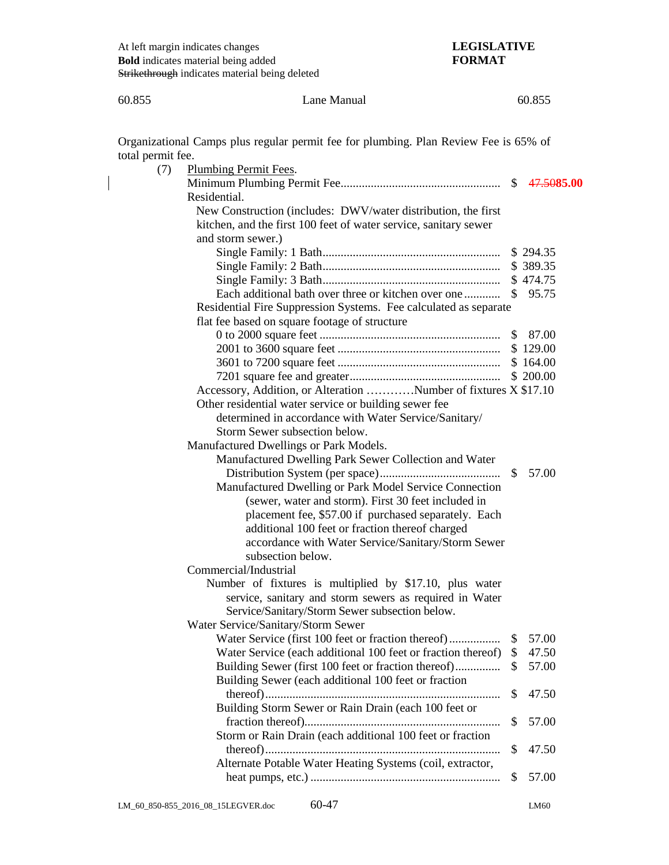60.855 Lane Manual 60.855 Organizational Camps plus regular permit fee for plumbing. Plan Review Fee is 65% of total permit fee. (7) Plumbing Permit Fees. Minimum Plumbing Permit Fee..................................................... \$ 47.50**85.00** Residential. New Construction (includes: DWV/water distribution, the first kitchen, and the first 100 feet of water service, sanitary sewer and storm sewer.) Single Family: 1 Bath........................................................... \$ 294.35 Single Family: 2 Bath........................................................... \$ 389.35 Single Family: 3 Bath........................................................... \$ 474.75 Each additional bath over three or kitchen over one ............ \$ 95.75 Residential Fire Suppression Systems. Fee calculated as separate flat fee based on square footage of structure 0 to 2000 square feet ............................................................ \$ 87.00 2001 to 3600 square feet ...................................................... \$ 129.00 3601 to 7200 square feet ...................................................... \$ 164.00 7201 square fee and greater.................................................. \$ 200.00 Accessory, Addition, or Alteration …………Number of fixtures X \$17.10 Other residential water service or building sewer fee determined in accordance with Water Service/Sanitary/ Storm Sewer subsection below. Manufactured Dwellings or Park Models. Manufactured Dwelling Park Sewer Collection and Water Distribution System (per space)........................................ \$ 57.00 Manufactured Dwelling or Park Model Service Connection (sewer, water and storm). First 30 feet included in placement fee, \$57.00 if purchased separately. Each additional 100 feet or fraction thereof charged accordance with Water Service/Sanitary/Storm Sewer subsection below. Commercial/Industrial Number of fixtures is multiplied by \$17.10, plus water service, sanitary and storm sewers as required in Water Service/Sanitary/Storm Sewer subsection below. Water Service/Sanitary/Storm Sewer Water Service (first 100 feet or fraction thereof)................. \$ 57.00 Water Service (each additional 100 feet or fraction thereof) \$47.50 Building Sewer (first 100 feet or fraction thereof)............... \$ 57.00 Building Sewer (each additional 100 feet or fraction thereof).............................................................................. \$ 47.50 Building Storm Sewer or Rain Drain (each 100 feet or fraction thereof)................................................................. \$ 57.00 Storm or Rain Drain (each additional 100 feet or fraction thereof).............................................................................. \$ 47.50 Alternate Potable Water Heating Systems (coil, extractor, heat pumps, etc.) ............................................................... \$ 57.00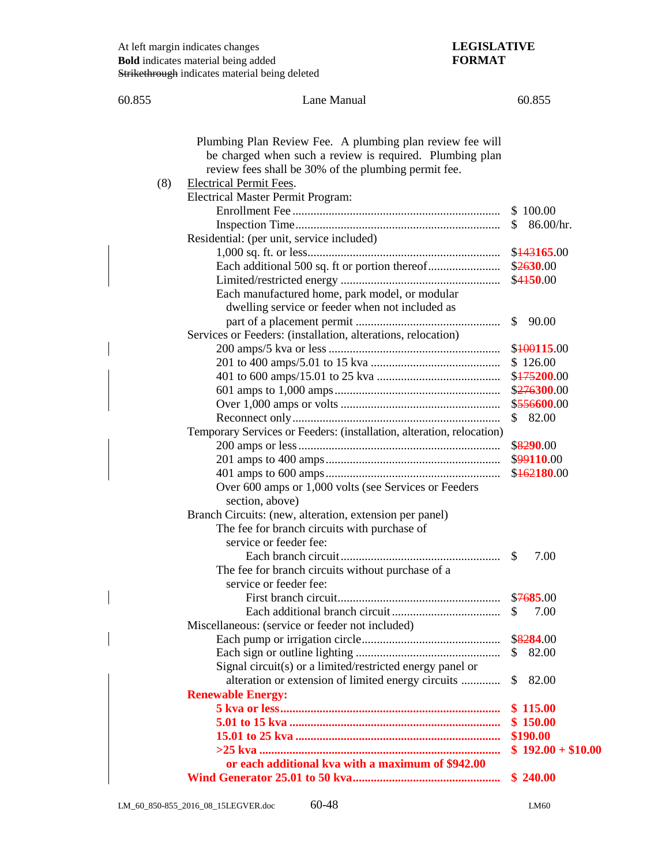| 60.855 | Lane Manual                                                                                             | 60.855                |
|--------|---------------------------------------------------------------------------------------------------------|-----------------------|
|        |                                                                                                         |                       |
|        |                                                                                                         |                       |
|        | Plumbing Plan Review Fee. A plumbing plan review fee will                                               |                       |
|        | be charged when such a review is required. Plumbing plan                                                |                       |
|        | review fees shall be 30% of the plumbing permit fee.                                                    |                       |
| (8)    | <b>Electrical Permit Fees.</b>                                                                          |                       |
|        | <b>Electrical Master Permit Program:</b>                                                                |                       |
|        |                                                                                                         |                       |
|        |                                                                                                         | 86.00/hr.             |
|        | Residential: (per unit, service included)                                                               |                       |
|        |                                                                                                         |                       |
|        |                                                                                                         |                       |
|        |                                                                                                         | \$4150.00             |
|        | Each manufactured home, park model, or modular                                                          |                       |
|        | dwelling service or feeder when not included as                                                         |                       |
|        |                                                                                                         | $\mathbb{S}$<br>90.00 |
|        | Services or Feeders: (installation, alterations, relocation)                                            |                       |
|        |                                                                                                         | \$400115.00           |
|        |                                                                                                         |                       |
|        |                                                                                                         |                       |
|        |                                                                                                         |                       |
|        |                                                                                                         |                       |
|        |                                                                                                         | \$82.00               |
|        | Temporary Services or Feeders: (installation, alteration, relocation)                                   |                       |
|        |                                                                                                         |                       |
|        |                                                                                                         | \$99110.00            |
|        |                                                                                                         | \$162180.00           |
|        | Over 600 amps or 1,000 volts (see Services or Feeders                                                   |                       |
|        | section, above)                                                                                         |                       |
|        | Branch Circuits: (new, alteration, extension per panel)<br>The fee for branch circuits with purchase of |                       |
|        | service or feeder fee:                                                                                  |                       |
|        |                                                                                                         | 7.00<br><sup>\$</sup> |
|        | The fee for branch circuits without purchase of a                                                       |                       |
|        | service or feeder fee:                                                                                  |                       |
|        |                                                                                                         | \$7685.00             |
|        |                                                                                                         | 7.00<br>S.            |
|        | Miscellaneous: (service or feeder not included)                                                         |                       |
|        |                                                                                                         | \$8284.00             |
|        |                                                                                                         | \$<br>82.00           |
|        | Signal circuit(s) or a limited/restricted energy panel or                                               |                       |
|        | alteration or extension of limited energy circuits                                                      | 82.00<br>\$           |
|        | <b>Renewable Energy:</b>                                                                                |                       |
|        |                                                                                                         | \$115.00              |
|        |                                                                                                         | \$150.00              |
|        |                                                                                                         | \$190.00              |
|        |                                                                                                         | $$192.00 + $10.00$    |
|        | or each additional kva with a maximum of \$942.00                                                       |                       |
|        |                                                                                                         | \$240.00              |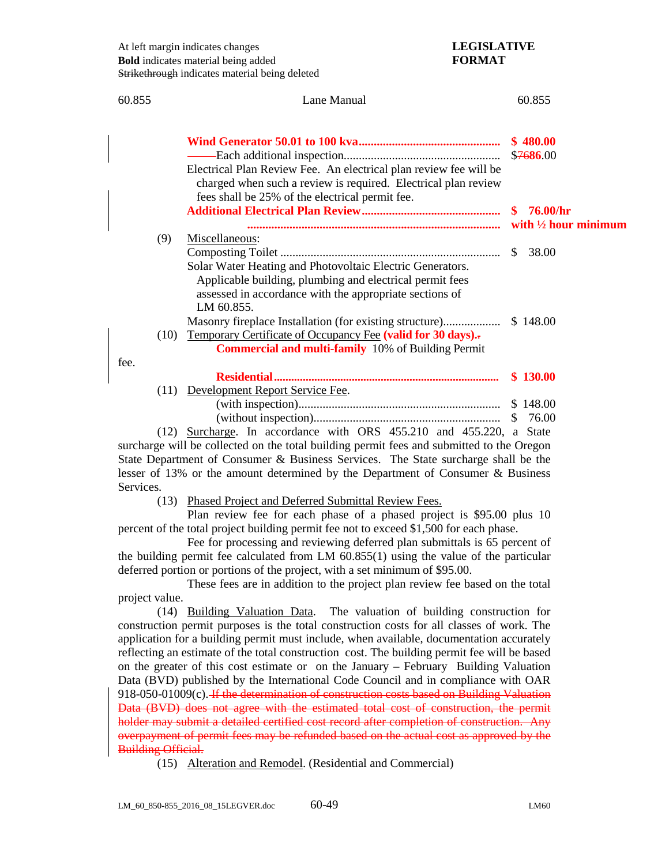| 60.855 | Lane Manual                                                                                                                                                                                                      | 60.855                                        |
|--------|------------------------------------------------------------------------------------------------------------------------------------------------------------------------------------------------------------------|-----------------------------------------------|
|        | Electrical Plan Review Fee. An electrical plan review fee will be<br>charged when such a review is required. Electrical plan review                                                                              | \$480.00<br>\$7686.00                         |
|        | fees shall be 25% of the electrical permit fee.                                                                                                                                                                  | \$76.00/hr<br>with $\frac{1}{2}$ hour minimum |
| (9)    | Miscellaneous:<br>Solar Water Heating and Photovoltaic Electric Generators.<br>Applicable building, plumbing and electrical permit fees<br>assessed in accordance with the appropriate sections of<br>LM 60.855. | 38.00                                         |
| (10)   | Masonry fireplace Installation (for existing structure)<br>Temporary Certificate of Occupancy Fee (valid for 30 days).<br><b>Commercial and multi-family</b> 10% of Building Permit                              | \$148.00                                      |
| fee.   |                                                                                                                                                                                                                  | \$130.00                                      |
|        | (11) Development Report Service Fee.                                                                                                                                                                             | \$148.00<br>76.00<br><sup>S</sup>             |
|        | (12) Surcharge. In accordance with ORS 455.210 and 455.220, a State<br>europerace will be collected on the total building permit foos and submitted to the Oregon                                                |                                               |

surcharge will be collected on the total building permit fees and submitted to the Oregon State Department of Consumer & Business Services. The State surcharge shall be the lesser of 13% or the amount determined by the Department of Consumer & Business Services.

(13) Phased Project and Deferred Submittal Review Fees.

Plan review fee for each phase of a phased project is \$95.00 plus 10 percent of the total project building permit fee not to exceed \$1,500 for each phase.

Fee for processing and reviewing deferred plan submittals is 65 percent of the building permit fee calculated from LM 60.855(1) using the value of the particular deferred portion or portions of the project, with a set minimum of \$95.00.

These fees are in addition to the project plan review fee based on the total project value.

(14) Building Valuation Data. The valuation of building construction for construction permit purposes is the total construction costs for all classes of work. The application for a building permit must include, when available, documentation accurately reflecting an estimate of the total construction cost. The building permit fee will be based on the greater of this cost estimate or on the January – February Building Valuation Data (BVD) published by the International Code Council and in compliance with OAR 918-050-01009(c). If the determination of construction costs based on Building Valuation Data (BVD) does not agree with the estimated total cost of construction, the permit holder may submit a detailed certified cost record after completion of construction. Any overpayment of permit fees may be refunded based on the actual cost as approved by the Building Official.

(15) Alteration and Remodel. (Residential and Commercial)